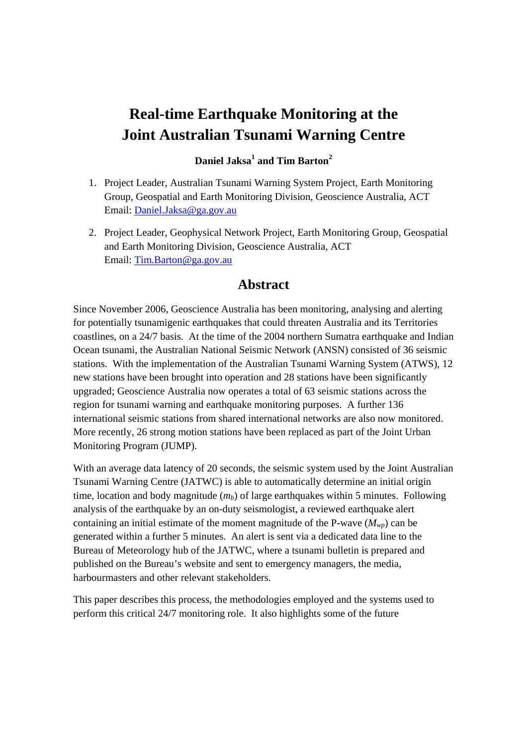# **Real-time Earthquake Monitoring at the Joint Australian Tsunami Warning Centre**

### **Daniel Jaksa<sup>1</sup> and Tim Barton<sup>2</sup>**

- 1. Project Leader, Australian Tsunami Warning System Project, Earth Monitoring Group, Geospatial and Earth Monitoring Division, Geoscience Australia, ACT Email: Daniel.Jaksa@ga.gov.au
- 2. Project Leader, Geophysical Network Project, Earth Monitoring Group, Geospatial and Earth Monitoring Division, Geoscience Australia, ACT Email: Tim.Barton@ga.gov.au

## **Abstract**

Since November 2006, Geoscience Australia has been monitoring, analysing and alerting for potentially tsunamigenic earthquakes that could threaten Australia and its Territories coastlines, on a 24/7 basis. At the time of the 2004 northern Sumatra earthquake and Indian Ocean tsunami, the Australian National Seismic Network (ANSN) consisted of 36 seismic stations. With the implementation of the Australian Tsunami Warning System (ATWS), 12 new stations have been brought into operation and 28 stations have been significantly upgraded; Geoscience Australia now operates a total of 63 seismic stations across the region for tsunami warning and earthquake monitoring purposes. A further 136 international seismic stations from shared international networks are also now monitored. More recently, 26 strong motion stations have been replaced as part of the Joint Urban Monitoring Program (JUMP).

With an average data latency of 20 seconds, the seismic system used by the Joint Australian Tsunami Warning Centre (JATWC) is able to automatically determine an initial origin time, location and body magnitude  $(m_b)$  of large earthquakes within 5 minutes. Following analysis of the earthquake by an on-duty seismologist, a reviewed earthquake alert containing an initial estimate of the moment magnitude of the P-wave  $(M_{wp})$  can be generated within a further 5 minutes. An alert is sent via a dedicated data line to the Bureau of Meteorology hub of the JATWC, where a tsunami bulletin is prepared and published on the Bureau's website and sent to emergency managers, the media, harbourmasters and other relevant stakeholders.

This paper describes this process, the methodologies employed and the systems used to perform this critical 24/7 monitoring role. It also highlights some of the future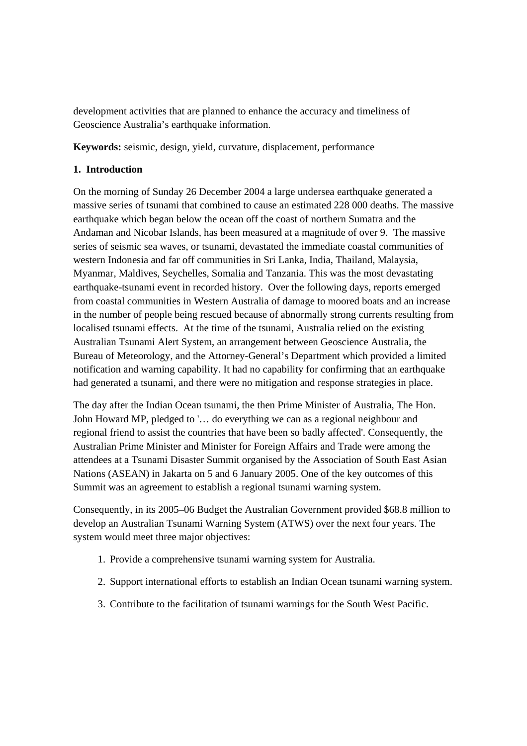development activities that are planned to enhance the accuracy and timeliness of Geoscience Australia's earthquake information.

**Keywords:** seismic, design, yield, curvature, displacement, performance

#### **1. Introduction**

On the morning of Sunday 26 December 2004 a large undersea earthquake generated a massive series of tsunami that combined to cause an estimated 228 000 deaths. The massive earthquake which began below the ocean off the coast of northern Sumatra and the Andaman and Nicobar Islands, has been measured at a magnitude of over 9. The massive series of seismic sea waves, or tsunami, devastated the immediate coastal communities of western Indonesia and far off communities in Sri Lanka, India, Thailand, Malaysia, Myanmar, Maldives, Seychelles, Somalia and Tanzania. This was the most devastating earthquake-tsunami event in recorded history. Over the following days, reports emerged from coastal communities in Western Australia of damage to moored boats and an increase in the number of people being rescued because of abnormally strong currents resulting from localised tsunami effects. At the time of the tsunami, Australia relied on the existing Australian Tsunami Alert System, an arrangement between Geoscience Australia, the Bureau of Meteorology, and the Attorney-General's Department which provided a limited notification and warning capability. It had no capability for confirming that an earthquake had generated a tsunami, and there were no mitigation and response strategies in place.

The day after the Indian Ocean tsunami, the then Prime Minister of Australia, The Hon. John Howard MP, pledged to '… do everything we can as a regional neighbour and regional friend to assist the countries that have been so badly affected'. Consequently, the Australian Prime Minister and Minister for Foreign Affairs and Trade were among the attendees at a Tsunami Disaster Summit organised by the Association of South East Asian Nations (ASEAN) in Jakarta on 5 and 6 January 2005. One of the key outcomes of this Summit was an agreement to establish a regional tsunami warning system.

Consequently, in its 2005–06 Budget the Australian Government provided \$68.8 million to develop an Australian Tsunami Warning System (ATWS) over the next four years. The system would meet three major objectives:

- 1. Provide a comprehensive tsunami warning system for Australia.
- 2. Support international efforts to establish an Indian Ocean tsunami warning system.
- 3. Contribute to the facilitation of tsunami warnings for the South West Pacific.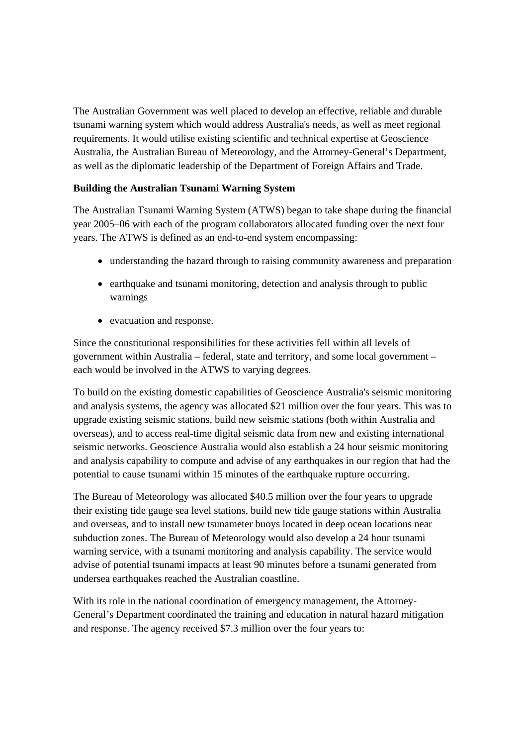The Australian Government was well placed to develop an effective, reliable and durable tsunami warning system which would address Australia's needs, as well as meet regional requirements. It would utilise existing scientific and technical expertise at Geoscience Australia, the Australian Bureau of Meteorology, and the Attorney-General's Department, as well as the diplomatic leadership of the Department of Foreign Affairs and Trade.

#### **Building the Australian Tsunami Warning System**

The Australian Tsunami Warning System (ATWS) began to take shape during the financial year 2005–06 with each of the program collaborators allocated funding over the next four years. The ATWS is defined as an end-to-end system encompassing:

- understanding the hazard through to raising community awareness and preparation
- earthquake and tsunami monitoring, detection and analysis through to public warnings
- evacuation and response.

Since the constitutional responsibilities for these activities fell within all levels of government within Australia – federal, state and territory, and some local government – each would be involved in the ATWS to varying degrees.

To build on the existing domestic capabilities of Geoscience Australia's seismic monitoring and analysis systems, the agency was allocated \$21 million over the four years. This was to upgrade existing seismic stations, build new seismic stations (both within Australia and overseas), and to access real-time digital seismic data from new and existing international seismic networks. Geoscience Australia would also establish a 24 hour seismic monitoring and analysis capability to compute and advise of any earthquakes in our region that had the potential to cause tsunami within 15 minutes of the earthquake rupture occurring.

The Bureau of Meteorology was allocated \$40.5 million over the four years to upgrade their existing tide gauge sea level stations, build new tide gauge stations within Australia and overseas, and to install new tsunameter buoys located in deep ocean locations near subduction zones. The Bureau of Meteorology would also develop a 24 hour tsunami warning service, with a tsunami monitoring and analysis capability. The service would advise of potential tsunami impacts at least 90 minutes before a tsunami generated from undersea earthquakes reached the Australian coastline.

With its role in the national coordination of emergency management, the Attorney-General's Department coordinated the training and education in natural hazard mitigation and response. The agency received \$7.3 million over the four years to: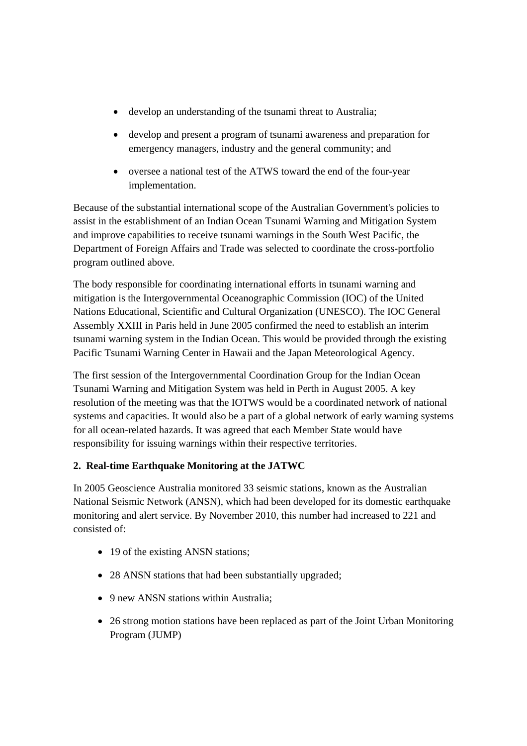- develop an understanding of the tsunami threat to Australia;
- develop and present a program of tsunami awareness and preparation for emergency managers, industry and the general community; and
- oversee a national test of the ATWS toward the end of the four-year implementation.

Because of the substantial international scope of the Australian Government's policies to assist in the establishment of an Indian Ocean Tsunami Warning and Mitigation System and improve capabilities to receive tsunami warnings in the South West Pacific, the Department of Foreign Affairs and Trade was selected to coordinate the cross-portfolio program outlined above.

The body responsible for coordinating international efforts in tsunami warning and mitigation is the Intergovernmental Oceanographic Commission (IOC) of the United Nations Educational, Scientific and Cultural Organization (UNESCO). The IOC General Assembly XXIII in Paris held in June 2005 confirmed the need to establish an interim tsunami warning system in the Indian Ocean. This would be provided through the existing Pacific Tsunami Warning Center in Hawaii and the Japan Meteorological Agency.

The first session of the Intergovernmental Coordination Group for the Indian Ocean Tsunami Warning and Mitigation System was held in Perth in August 2005. A key resolution of the meeting was that the IOTWS would be a coordinated network of national systems and capacities. It would also be a part of a global network of early warning systems for all ocean-related hazards. It was agreed that each Member State would have responsibility for issuing warnings within their respective territories.

## **2. Real-time Earthquake Monitoring at the JATWC**

In 2005 Geoscience Australia monitored 33 seismic stations, known as the Australian National Seismic Network (ANSN), which had been developed for its domestic earthquake monitoring and alert service. By November 2010, this number had increased to 221 and consisted of:

- 19 of the existing ANSN stations;
- 28 ANSN stations that had been substantially upgraded;
- 9 new ANSN stations within Australia:
- 26 strong motion stations have been replaced as part of the Joint Urban Monitoring Program (JUMP)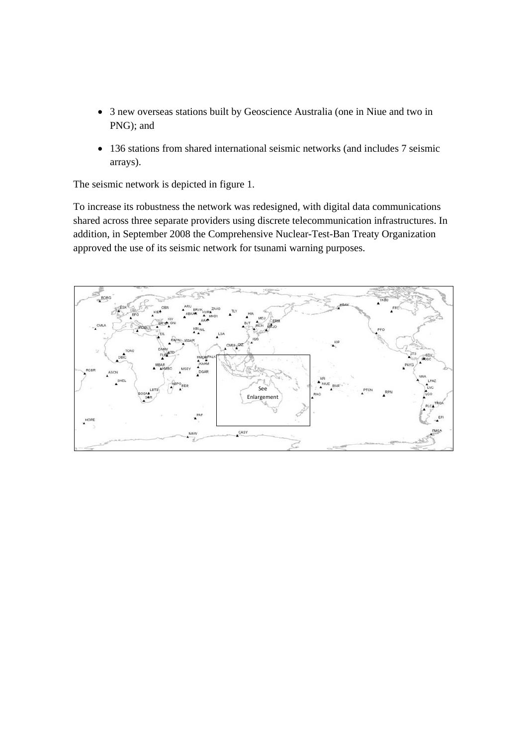- 3 new overseas stations built by Geoscience Australia (one in Niue and two in PNG); and
- 136 stations from shared international seismic networks (and includes 7 seismic arrays).

The seismic network is depicted in figure 1.

To increase its robustness the network was redesigned, with digital data communications shared across three separate providers using discrete telecommunication infrastructures. In addition, in September 2008 the Comprehensive Nuclear-Test-Ban Treaty Organization approved the use of its seismic network for tsunami warning purposes.

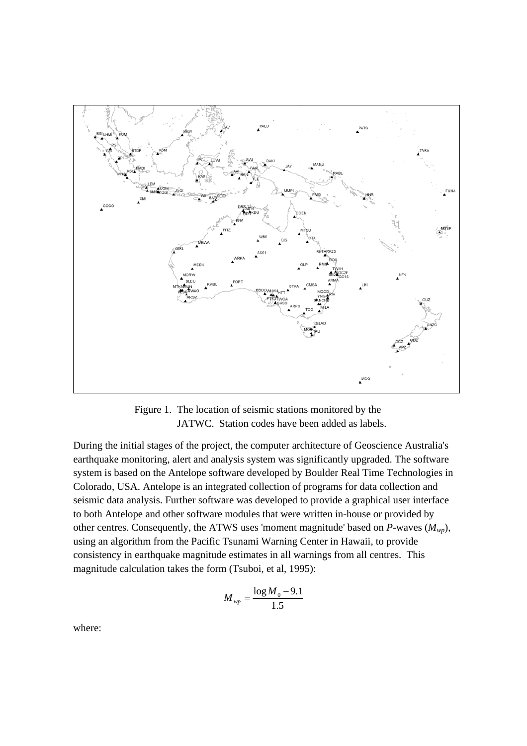

Figure 1. The location of seismic stations monitored by the JATWC. Station codes have been added as labels.

During the initial stages of the project, the computer architecture of Geoscience Australia's earthquake monitoring, alert and analysis system was significantly upgraded. The software system is based on the Antelope software developed by Boulder Real Time Technologies in Colorado, USA. Antelope is an integrated collection of programs for data collection and seismic data analysis. Further software was developed to provide a graphical user interface to both Antelope and other software modules that were written in-house or provided by other centres. Consequently, the ATWS uses 'moment magnitude' based on  $P$ -waves ( $M_{wp}$ ), using an algorithm from the Pacific Tsunami Warning Center in Hawaii, to provide consistency in earthquake magnitude estimates in all warnings from all centres. This magnitude calculation takes the form (Tsuboi, et al, 1995):

$$
M_{wp}=\frac{\log M_{\rm 0}-9.1}{1.5}
$$

where: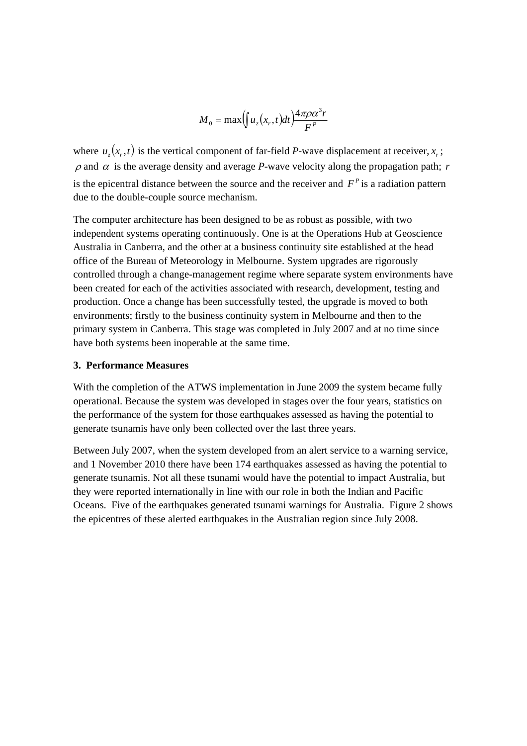$$
M_0 = \max\left(\int u_z(x_r, t)dt\right) \frac{4\pi\rho\alpha^3r}{F^P}
$$

where  $u(x, t)$  is the vertical component of far-field *P*-wave displacement at receiver,  $x_i$ ;  $ρ$  and  $α$  is the average density and average *P*-wave velocity along the propagation path; *r* is the epicentral distance between the source and the receiver and  $F<sup>p</sup>$  is a radiation pattern due to the double-couple source mechanism.

The computer architecture has been designed to be as robust as possible, with two independent systems operating continuously. One is at the Operations Hub at Geoscience Australia in Canberra, and the other at a business continuity site established at the head office of the Bureau of Meteorology in Melbourne. System upgrades are rigorously controlled through a change-management regime where separate system environments have been created for each of the activities associated with research, development, testing and production. Once a change has been successfully tested, the upgrade is moved to both environments; firstly to the business continuity system in Melbourne and then to the primary system in Canberra. This stage was completed in July 2007 and at no time since have both systems been inoperable at the same time.

#### **3. Performance Measures**

With the completion of the ATWS implementation in June 2009 the system became fully operational. Because the system was developed in stages over the four years, statistics on the performance of the system for those earthquakes assessed as having the potential to generate tsunamis have only been collected over the last three years.

Between July 2007, when the system developed from an alert service to a warning service, and 1 November 2010 there have been 174 earthquakes assessed as having the potential to generate tsunamis. Not all these tsunami would have the potential to impact Australia, but they were reported internationally in line with our role in both the Indian and Pacific Oceans. Five of the earthquakes generated tsunami warnings for Australia. Figure 2 shows the epicentres of these alerted earthquakes in the Australian region since July 2008.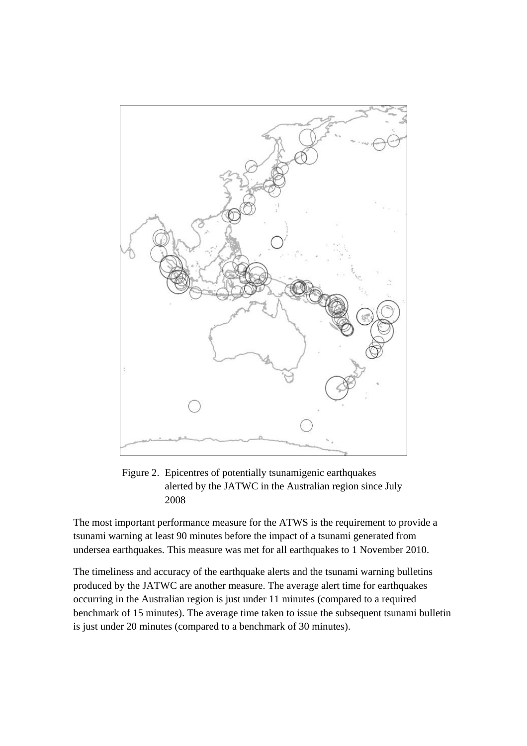

Figure 2. Epicentres of potentially tsunamigenic earthquakes alerted by the JATWC in the Australian region since July 2008

The most important performance measure for the ATWS is the requirement to provide a tsunami warning at least 90 minutes before the impact of a tsunami generated from undersea earthquakes. This measure was met for all earthquakes to 1 November 2010.

The timeliness and accuracy of the earthquake alerts and the tsunami warning bulletins produced by the JATWC are another measure. The average alert time for earthquakes occurring in the Australian region is just under 11 minutes (compared to a required benchmark of 15 minutes). The average time taken to issue the subsequent tsunami bulletin is just under 20 minutes (compared to a benchmark of 30 minutes).